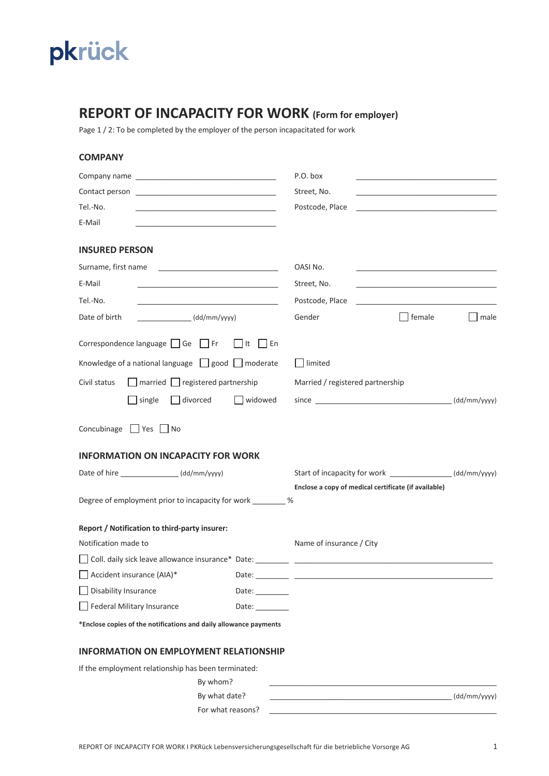

## **REPORT OF INCAPACITY FOR WORK (Form for employer)**

Page 1 / 2: To be completed by the employer of the person incapacitated for work

| <b>COMPANY</b>                                                                                                                 |                                                                                                              |              |
|--------------------------------------------------------------------------------------------------------------------------------|--------------------------------------------------------------------------------------------------------------|--------------|
|                                                                                                                                | P.O. box                                                                                                     |              |
|                                                                                                                                | Street, No.                                                                                                  |              |
| Tel.-No.                                                                                                                       | Postcode, Place<br>the control of the control of the control of the control of the control of the control of |              |
| E-Mail                                                                                                                         |                                                                                                              |              |
| <b>INSURED PERSON</b>                                                                                                          |                                                                                                              |              |
| Surname, first name                                                                                                            | OASI No.                                                                                                     |              |
| E-Mail<br><u> 1989 - Jan James James James James James James James James James James James James James James James James J</u> | Street, No.                                                                                                  |              |
| Tel.-No.<br><u> 1980 - Johann John Harry Hermann (f. 1980)</u>                                                                 | Postcode, Place                                                                                              |              |
| Date of birth<br>$\sqrt{\frac{dd}{m}}$ (dd/mm/yyyy)                                                                            | Gender<br>female                                                                                             | $ $ male     |
| Correspondence language $\Box$ Ge $\Box$ Fr<br>  En<br>It                                                                      |                                                                                                              |              |
| Knowledge of a national language $\Box$ good $\Box$ moderate                                                                   | limited                                                                                                      |              |
| Civil status<br>$\Box$ married $\Box$ registered partnership                                                                   | Married / registered partnership                                                                             |              |
| divorced<br>$\Box$ widowed<br>single                                                                                           |                                                                                                              |              |
| Concubinage $\Box$ Yes $\Box$ No<br><b>INFORMATION ON INCAPACITY FOR WORK</b>                                                  |                                                                                                              |              |
| Date of hire ________________(dd/mm/yyyy)                                                                                      | Start of incapacity for work _______________(dd/mm/yyyy)                                                     |              |
|                                                                                                                                | Enclose a copy of medical certificate (if available)                                                         |              |
| Degree of employment prior to incapacity for work _________ %                                                                  |                                                                                                              |              |
| Report / Notification to third-party insurer:                                                                                  |                                                                                                              |              |
| Notification made to                                                                                                           | Name of insurance / City                                                                                     |              |
|                                                                                                                                |                                                                                                              |              |
| Accident insurance (AIA)*                                                                                                      |                                                                                                              |              |
| Disability Insurance<br>Date: _________                                                                                        |                                                                                                              |              |
| Federal Military Insurance<br>Date: $\_\_$                                                                                     |                                                                                                              |              |
| *Enclose copies of the notifications and daily allowance payments                                                              |                                                                                                              |              |
| <b>INFORMATION ON EMPLOYMENT RELATIONSHIP</b>                                                                                  |                                                                                                              |              |
| If the employment relationship has been terminated:                                                                            |                                                                                                              |              |
| By whom?                                                                                                                       |                                                                                                              |              |
| By what date?                                                                                                                  |                                                                                                              | (dd/mm/yyyy) |

For what reasons?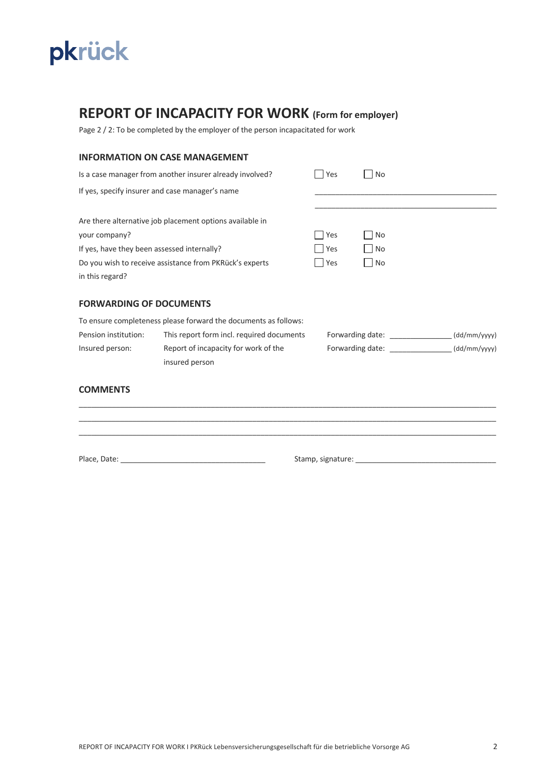

# **REPORT OF INCAPACITY FOR WORK (Form for employer)**

Page 2 / 2: To be completed by the employer of the person incapacitated for work

## **INFORMATION ON CASE MANAGEMENT**

| Is a case manager from another insurer already involved? |                                                                 | Yes | No                                |              |
|----------------------------------------------------------|-----------------------------------------------------------------|-----|-----------------------------------|--------------|
|                                                          | If yes, specify insurer and case manager's name                 |     |                                   |              |
| your company?                                            | Are there alternative job placement options available in        | Yes | No                                |              |
| If yes, have they been assessed internally?              |                                                                 | Yes | No                                |              |
| Do you wish to receive assistance from PKRück's experts  |                                                                 | Yes | No                                |              |
| in this regard?                                          |                                                                 |     |                                   |              |
| <b>FORWARDING OF DOCUMENTS</b>                           |                                                                 |     |                                   |              |
|                                                          | To ensure completeness please forward the documents as follows: |     |                                   |              |
| Pension institution:                                     | This report form incl. required documents                       |     | Forwarding date: ______________   | (dd/mm/yyyy) |
| Insured person:                                          | Report of incapacity for work of the<br>insured person          |     | Forwarding date: ________________ | (dd/mm/yyyy) |
| <b>COMMENTS</b>                                          |                                                                 |     |                                   |              |

\_\_\_\_\_\_\_\_\_\_\_\_\_\_\_\_\_\_\_\_\_\_\_\_\_\_\_\_\_\_\_\_\_\_\_\_\_\_\_\_\_\_\_\_\_\_\_\_\_\_\_\_\_\_\_\_\_\_\_\_\_\_\_\_\_\_\_\_\_\_\_\_\_\_\_\_\_\_\_\_\_\_\_\_\_\_\_\_\_\_\_\_\_\_\_\_\_\_\_\_\_ \_\_\_\_\_\_\_\_\_\_\_\_\_\_\_\_\_\_\_\_\_\_\_\_\_\_\_\_\_\_\_\_\_\_\_\_\_\_\_\_\_\_\_\_\_\_\_\_\_\_\_\_\_\_\_\_\_\_\_\_\_\_\_\_\_\_\_\_\_\_\_\_\_\_\_\_\_\_\_\_\_\_\_\_\_\_\_\_\_\_\_\_\_\_\_\_\_\_\_\_\_

Place, Date: \_\_\_\_\_\_\_\_\_\_\_\_\_\_\_\_\_\_\_\_\_\_\_\_\_\_\_\_\_\_\_\_\_\_\_ Stamp, signature: \_\_\_\_\_\_\_\_\_\_\_\_\_\_\_\_\_\_\_\_\_\_\_\_\_\_\_\_\_\_\_\_\_\_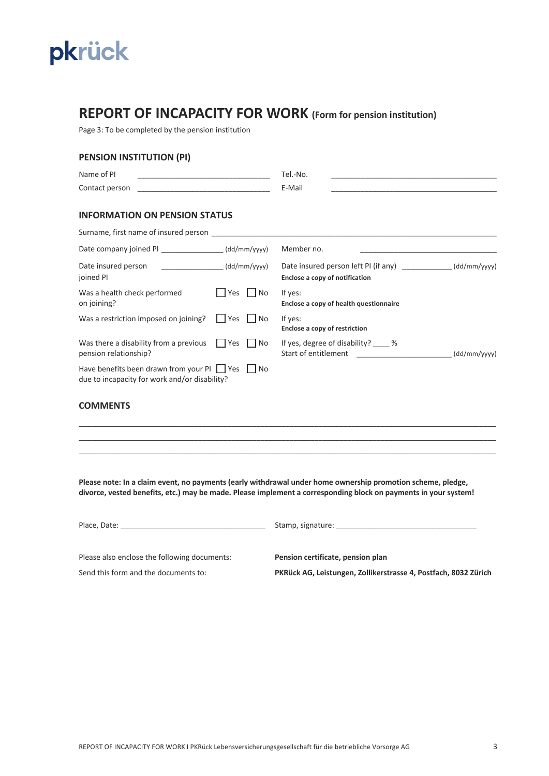

## **REPORT OF INCAPACITY FOR WORK (Form for pension institution)**

Page 3: To be completed by the pension institution

### **PENSION INSTITUTION (PI)**

| Name of PI                                                                                                  |                 | Tel.-No.                                                                                          |              |  |
|-------------------------------------------------------------------------------------------------------------|-----------------|---------------------------------------------------------------------------------------------------|--------------|--|
| Contact person                                                                                              |                 | E-Mail                                                                                            |              |  |
| <b>INFORMATION ON PENSION STATUS</b>                                                                        |                 |                                                                                                   |              |  |
| Surname, first name of insured person Surname and Surname, first name of insured                            |                 |                                                                                                   |              |  |
| Date company joined PI (dd/mm/yyyy)                                                                         |                 | Member no.                                                                                        |              |  |
| Date insured person<br>joined Pl                                                                            | (dd/mm/yyyy)    | Date insured person left PI (if any) ______________(dd/mm/yyyy)<br>Enclose a copy of notification |              |  |
| Was a health check performed<br>on joining?                                                                 | Yes<br>  No     | If yes:<br>Enclose a copy of health questionnaire                                                 |              |  |
| Was a restriction imposed on joining?                                                                       | $ $ Yes<br>l No | If yes:<br>Enclose a copy of restriction                                                          |              |  |
| Was there a disability from a previous $\vert \vert$ Yes $\vert \vert$ No<br>pension relationship?          |                 | If yes, degree of disability? $\%$<br>Start of entitlement                                        | (dd/mm/yyyy) |  |
| Have benefits been drawn from your PI $\Box$ Yes $\Box$ No<br>due to incapacity for work and/or disability? |                 |                                                                                                   |              |  |

#### **COMMENTS**

|  | ____________________ |  |
|--|----------------------|--|
|  |                      |  |
|  |                      |  |

**Please note: In a claim event, no payments (early withdrawal under home ownership promotion scheme, pledge, divorce, vested benefits, etc.) may be made. Please implement a corresponding block on payments in your system!**

Place, Date: \_\_\_\_\_\_\_\_\_\_\_\_\_\_\_\_\_\_\_\_\_\_\_\_\_\_\_\_\_\_\_\_\_\_\_ Stamp, signature: \_\_\_\_\_\_\_\_\_\_\_\_\_\_\_\_\_\_\_\_\_\_\_\_\_\_\_\_\_\_\_\_\_\_

Please also enclose the following documents: **Pension certificate, pension plan** 

Send this form and the documents to: **PKRück AG, Leistungen, Zollikerstrasse 4, Postfach, 8032 Zürich**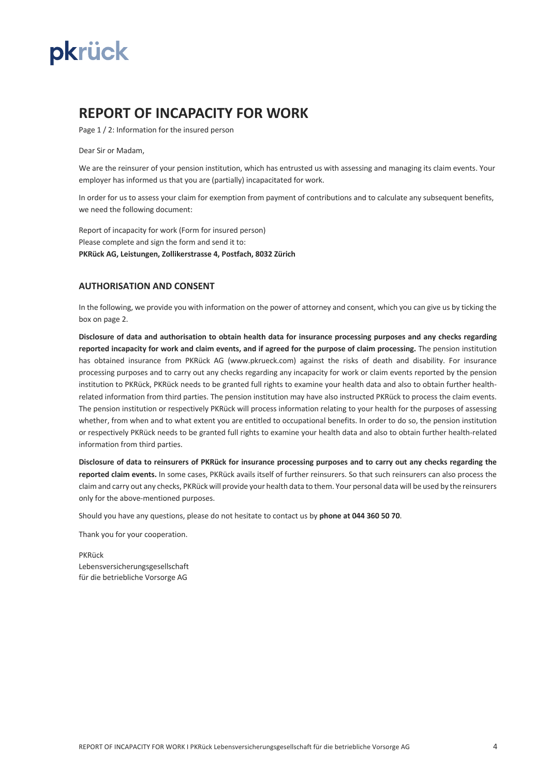

## **REPORT OF INCAPACITY FOR WORK**

Page 1 / 2: Information for the insured person

Dear Sir or Madam,

We are the reinsurer of your pension institution, which has entrusted us with assessing and managing its claim events. Your employer has informed us that you are (partially) incapacitated for work.

In order for us to assess your claim for exemption from payment of contributions and to calculate any subsequent benefits, we need the following document:

Report of incapacity for work (Form for insured person) Please complete and sign the form and send it to: **PKRück AG, Leistungen, Zollikerstrasse 4, Postfach, 8032 Zürich**

#### **AUTHORISATION AND CONSENT**

In the following, we provide you with information on the power of attorney and consent, which you can give us by ticking the box on page 2.

**Disclosure of data and authorisation to obtain health data for insurance processing purposes and any checks regarding reported incapacity for work and claim events, and if agreed for the purpose of claim processing.** The pension institution has obtained insurance from PKRück AG (www.pkrueck.com) against the risks of death and disability. For insurance processing purposes and to carry out any checks regarding any incapacity for work or claim events reported by the pension institution to PKRück, PKRück needs to be granted full rights to examine your health data and also to obtain further healthrelated information from third parties. The pension institution may have also instructed PKRück to process the claim events. The pension institution or respectively PKRück will process information relating to your health for the purposes of assessing whether, from when and to what extent you are entitled to occupational benefits. In order to do so, the pension institution or respectively PKRück needs to be granted full rights to examine your health data and also to obtain further health-related information from third parties.

**Disclosure of data to reinsurers of PKRück for insurance processing purposes and to carry out any checks regarding the reported claim events.** In some cases, PKRück avails itself of further reinsurers. So that such reinsurers can also process the claim and carry out any checks, PKRück will provide your health data to them. Your personal data will be used by the reinsurers only for the above-mentioned purposes.

Should you have any questions, please do not hesitate to contact us by **phone at 044 360 50 70**.

Thank you for your cooperation.

PKRück Lebensversicherungsgesellschaft für die betriebliche Vorsorge AG